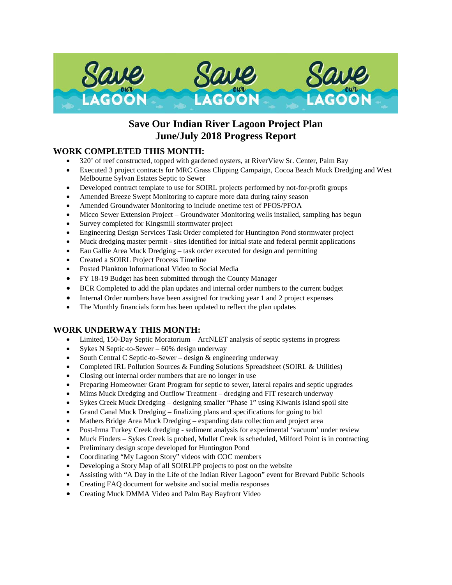

# **Save Our Indian River Lagoon Project Plan June/July 2018 Progress Report**

# **WORK COMPLETED THIS MONTH:**

- 320' of reef constructed, topped with gardened oysters, at RiverView Sr. Center, Palm Bay
- Executed 3 project contracts for MRC Grass Clipping Campaign, Cocoa Beach Muck Dredging and West Melbourne Sylvan Estates Septic to Sewer
- Developed contract template to use for SOIRL projects performed by not-for-profit groups
- Amended Breeze Swept Monitoring to capture more data during rainy season
- Amended Groundwater Monitoring to include onetime test of PFOS/PFOA
- Micco Sewer Extension Project Groundwater Monitoring wells installed, sampling has begun
- Survey completed for Kingsmill stormwater project
- Engineering Design Services Task Order completed for Huntington Pond stormwater project
- Muck dredging master permit sites identified for initial state and federal permit applications
- Eau Gallie Area Muck Dredging task order executed for design and permitting
- Created a SOIRL Project Process Timeline
- Posted Plankton Informational Video to Social Media
- FY 18-19 Budget has been submitted through the County Manager
- BCR Completed to add the plan updates and internal order numbers to the current budget
- Internal Order numbers have been assigned for tracking year 1 and 2 project expenses
- The Monthly financials form has been updated to reflect the plan updates

## **WORK UNDERWAY THIS MONTH:**

- Limited, 150-Day Septic Moratorium ArcNLET analysis of septic systems in progress
- Sykes N Septic-to-Sewer 60% design underway
- South Central C Septic-to-Sewer design & engineering underway
- Completed IRL Pollution Sources & Funding Solutions Spreadsheet (SOIRL & Utilities)
- Closing out internal order numbers that are no longer in use
- Preparing Homeowner Grant Program for septic to sewer, lateral repairs and septic upgrades
- Mims Muck Dredging and Outflow Treatment dredging and FIT research underway
- Sykes Creek Muck Dredging designing smaller "Phase 1" using Kiwanis island spoil site
- Grand Canal Muck Dredging finalizing plans and specifications for going to bid
- Mathers Bridge Area Muck Dredging expanding data collection and project area
- Post-Irma Turkey Creek dredging sediment analysis for experimental 'vacuum' under review
- Muck Finders Sykes Creek is probed, Mullet Creek is scheduled, Milford Point is in contracting
- Preliminary design scope developed for Huntington Pond
- Coordinating "My Lagoon Story" videos with COC members
- Developing a Story Map of all SOIRLPP projects to post on the website
- Assisting with "A Day in the Life of the Indian River Lagoon" event for Brevard Public Schools
- Creating FAQ document for website and social media responses
- Creating Muck DMMA Video and Palm Bay Bayfront Video